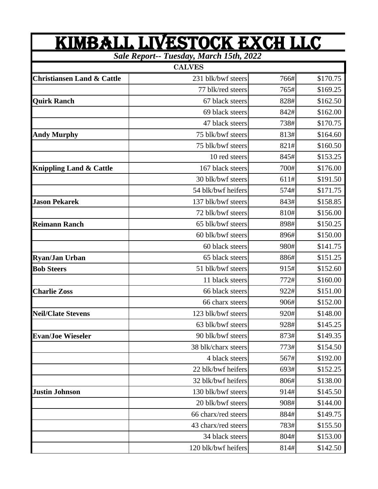| <u>KIMBALL LIVESTOCK EXCH LLC</u><br>Sale Report-- Tuesday, March 15th, 2022 |                     |      |          |  |
|------------------------------------------------------------------------------|---------------------|------|----------|--|
|                                                                              |                     |      |          |  |
| <b>Christiansen Land &amp; Cattle</b>                                        | 231 blk/bwf steers  | 766# | \$170.75 |  |
|                                                                              | 77 blk/red steers   | 765# | \$169.25 |  |
| <b>Quirk Ranch</b>                                                           | 67 black steers     | 828# | \$162.50 |  |
|                                                                              | 69 black steers     | 842# | \$162.00 |  |
|                                                                              | 47 black steers     | 738# | \$170.75 |  |
| <b>Andy Murphy</b>                                                           | 75 blk/bwf steers   | 813# | \$164.60 |  |
|                                                                              | 75 blk/bwf steers   | 821# | \$160.50 |  |
|                                                                              | 10 red steers       | 845# | \$153.25 |  |
| <b>Knippling Land &amp; Cattle</b>                                           | 167 black steers    | 700# | \$176.00 |  |
|                                                                              | 30 blk/bwf steers   | 611# | \$191.50 |  |
|                                                                              | 54 blk/bwf heifers  | 574# | \$171.75 |  |
| <b>Jason Pekarek</b>                                                         | 137 blk/bwf steers  | 843# | \$158.85 |  |
|                                                                              | 72 blk/bwf steers   | 810# | \$156.00 |  |
| <b>Reimann Ranch</b>                                                         | 65 blk/bwf steers   | 898# | \$150.25 |  |
|                                                                              | 60 blk/bwf steers   | 896# | \$150.00 |  |
|                                                                              | 60 black steers     | 980# | \$141.75 |  |
| <b>Ryan/Jan Urban</b>                                                        | 65 black steers     | 886# | \$151.25 |  |
| <b>Bob Steers</b>                                                            | 51 blk/bwf steers   | 915# | \$152.60 |  |
|                                                                              | 11 black steers     | 772# | \$160.00 |  |
| <b>Charlie Zoss</b>                                                          | 66 black steers     | 922# | \$151.00 |  |
|                                                                              | 66 charx steers     | 906# | \$152.00 |  |
| <b>Neil/Clate Stevens</b>                                                    | 123 blk/bwf steers  | 920# | \$148.00 |  |
|                                                                              | 63 blk/bwf steers   | 928# | \$145.25 |  |
| <b>Evan/Joe Wieseler</b>                                                     | 90 blk/bwf steers   | 873# | \$149.35 |  |
|                                                                              | 38 blk/charx steers | 773# | \$154.50 |  |
|                                                                              | 4 black steers      | 567# | \$192.00 |  |
|                                                                              | 22 blk/bwf heifers  | 693# | \$152.25 |  |
|                                                                              | 32 blk/bwf heifers  | 806# | \$138.00 |  |
| <b>Justin Johnson</b>                                                        | 130 blk/bwf steers  | 914# | \$145.50 |  |
|                                                                              | 20 blk/bwf steers   | 908# | \$144.00 |  |
|                                                                              | 66 charx/red steers | 884# | \$149.75 |  |
|                                                                              | 43 charx/red steers | 783# | \$155.50 |  |
|                                                                              | 34 black steers     | 804# | \$153.00 |  |
|                                                                              | 120 blk/bwf heifers | 814# | \$142.50 |  |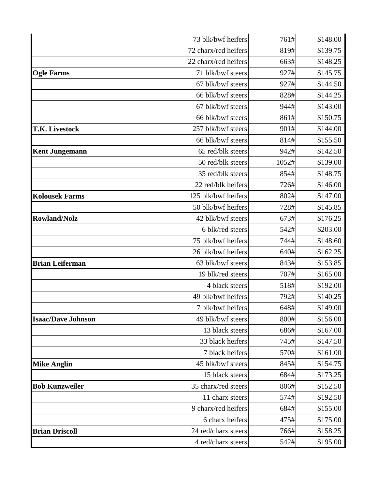|                           | 73 blk/bwf heifers   | 761#  | \$148.00 |
|---------------------------|----------------------|-------|----------|
|                           | 72 charx/red heifers | 819#  | \$139.75 |
|                           | 22 charx/red heifers | 663#  | \$148.25 |
| <b>Ogle Farms</b>         | 71 blk/bwf steers    | 927#  | \$145.75 |
|                           | 67 blk/bwf steers    | 927#  | \$144.50 |
|                           | 66 blk/bwf steers    | 828#  | \$144.25 |
|                           | 67 blk/bwf steers    | 944#  | \$143.00 |
|                           | 66 blk/bwf steers    | 861#  | \$150.75 |
| <b>T.K. Livestock</b>     | 257 blk/bwf steers   | 901#  | \$144.00 |
|                           | 66 blk/bwf steers    | 814#  | \$155.50 |
| <b>Kent Jungemann</b>     | 65 red/blk steers    | 942#  | \$142.50 |
|                           | 50 red/blk steers    | 1052# | \$139.00 |
|                           | 35 red/blk steers    | 854#  | \$148.75 |
|                           | 22 red/blk heifers   | 726#  | \$146.00 |
| <b>Kolousek Farms</b>     | 125 blk/bwf heifers  | 802#  | \$147.00 |
|                           | 50 blk/bwf heifers   | 728#  | \$145.85 |
| <b>Rowland/Nolz</b>       | 42 blk/bwf steers    | 673#  | \$176.25 |
|                           | 6 blk/red steers     | 542#  | \$203.00 |
|                           | 75 blk/bwf heifers   | 744#  | \$148.60 |
|                           | 26 blk/bwf heifers   | 640#  | \$162.25 |
| <b>Brian Leiferman</b>    | 63 blk/bwf steers    | 843#  | \$153.85 |
|                           | 19 blk/red steers    | 707#  | \$165.00 |
|                           | 4 black steers       | 518#  | \$192.00 |
|                           | 49 blk/bwf heifers   | 792#  | \$140.25 |
|                           | 7 blk/bwf heifers    | 648#  | \$149.00 |
| <b>Isaac/Dave Johnson</b> | 49 blk/bwf steers    | 800#  | \$156.00 |
|                           | 13 black steers      | 686#  | \$167.00 |
|                           | 33 black heifers     | 745#  | \$147.50 |
|                           | 7 black heifers      | 570#  | \$161.00 |
| <b>Mike Anglin</b>        | 45 blk/bwf steers    | 845#  | \$154.75 |
|                           | 15 black steers      | 684#  | \$173.25 |
| <b>Bob Kunzweiler</b>     | 35 charx/red steers  | 806#  | \$152.50 |
|                           | 11 charx steers      | 574#  | \$192.50 |
|                           | 9 charx/red heifers  | 684#  | \$155.00 |
|                           | 6 charx heifers      | 475#  | \$175.00 |
| <b>Brian Driscoll</b>     | 24 red/charx steers  | 766#  | \$158.25 |
|                           | 4 red/charx steers   | 542#  | \$195.00 |